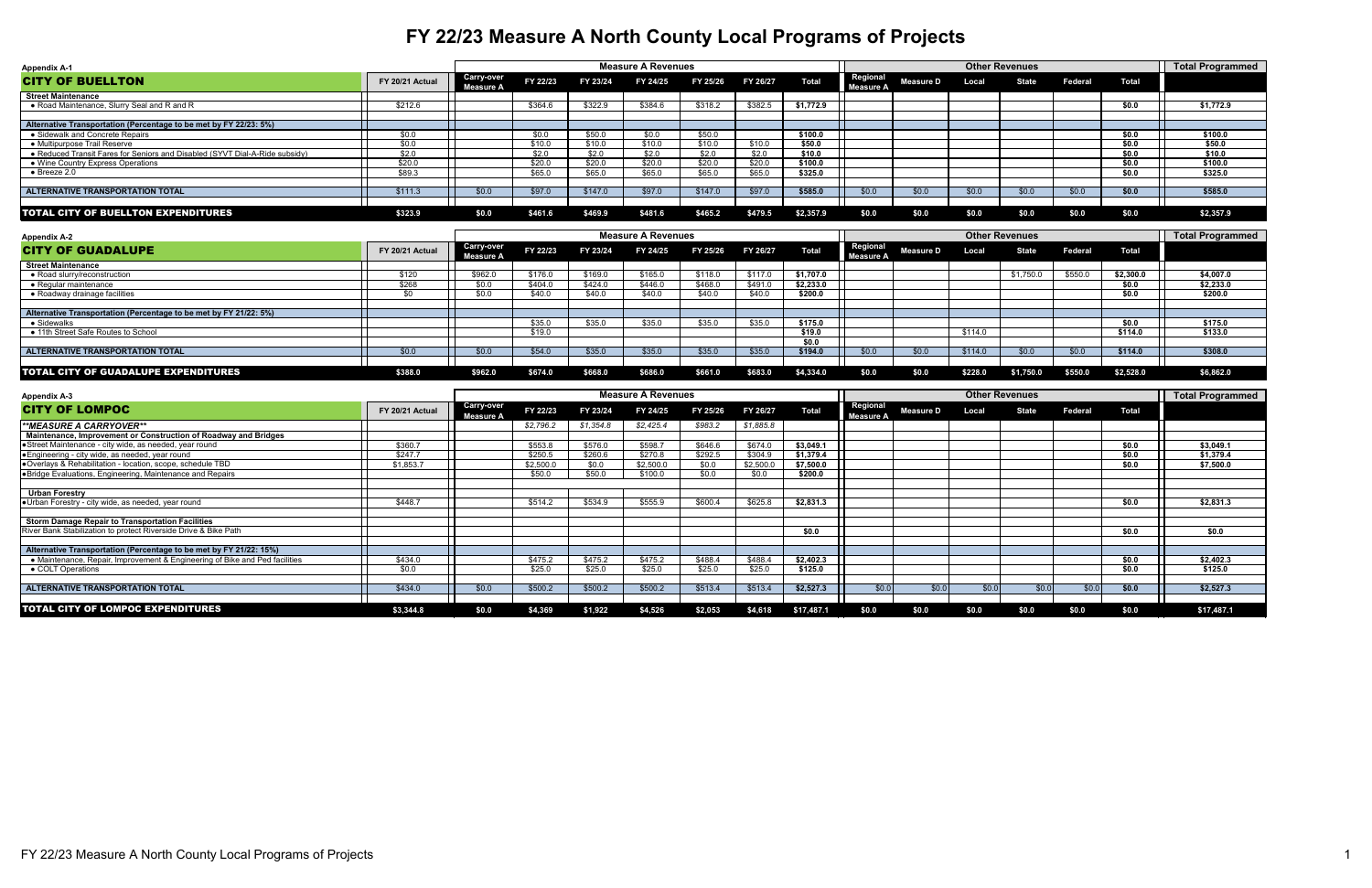| <b>Appendix A-1</b>                                                         |                 |                                       |          |          | <b>Measure A Revenues</b> |          |          |              |                                     |                  | <b>Other Revenues</b> |              |         |              | <b>Total Programmed</b> |
|-----------------------------------------------------------------------------|-----------------|---------------------------------------|----------|----------|---------------------------|----------|----------|--------------|-------------------------------------|------------------|-----------------------|--------------|---------|--------------|-------------------------|
| <b>CITY OF BUELLTON</b>                                                     | FY 20/21 Actual | <b>Carry-over</b><br><b>Measure A</b> | FY 22/23 | FY 23/24 | FY 24/25                  | FY 25/26 | FY 26/27 | <b>Total</b> | <b>Regional</b><br><b>Measure A</b> | <b>Measure D</b> | Local                 | <b>State</b> | Federal | <b>Total</b> |                         |
| <b>Street Maintenance</b>                                                   |                 |                                       |          |          |                           |          |          |              |                                     |                  |                       |              |         |              |                         |
| • Road Maintenance, Slurry Seal and R and R                                 | \$212.6         |                                       | \$364.6  | \$322.9  | \$384.6                   | \$318.2  | \$382.5  | \$1,772.9    |                                     |                  |                       |              |         | \$0.0        | \$1,772.9               |
|                                                                             |                 |                                       |          |          |                           |          |          |              |                                     |                  |                       |              |         |              |                         |
| Alternative Transportation (Percentage to be met by FY 22/23: 5%)           |                 |                                       |          |          |                           |          |          |              |                                     |                  |                       |              |         |              |                         |
| • Sidewalk and Concrete Repairs                                             | \$0.0           |                                       | \$0.0    | \$50.0   | \$0.0                     | \$50.0   |          | \$100.0      |                                     |                  |                       |              |         | \$0.0        | \$100.0                 |
| • Multipurpose Trail Reserve                                                | \$0.0           |                                       | \$10.0   | \$10.0   | \$10.0                    | \$10.0   | \$10.0   | \$50.0       |                                     |                  |                       |              |         | \$0.0        | \$50.0                  |
| • Reduced Transit Fares for Seniors and Disabled (SYVT Dial-A-Ride subsidy) | \$2.0           |                                       | \$2.0    | \$2.0    | \$2.0                     | \$2.0    | \$2.0    | \$10.0       |                                     |                  |                       |              |         | \$0.0        | \$10.0                  |
| ● Wine Country Express Operations                                           | \$20.0          |                                       | \$20.0   | \$20.0   | \$20.0                    | \$20.0   | \$20.0   | \$100.0      |                                     |                  |                       |              |         | \$0.0        | \$100.0                 |
| $\bullet$ Breeze 2.0                                                        | \$89.3          |                                       | \$65.0   | \$65.0   | \$65.0                    | \$65.0   | \$65.0   | \$325.0      |                                     |                  |                       |              |         | \$0.0        | \$325.0                 |
|                                                                             |                 |                                       |          |          |                           |          |          |              |                                     |                  |                       |              |         |              |                         |
| <b>ALTERNATIVE TRANSPORTATION TOTAL</b>                                     | \$111.3         | \$0.0\$                               | \$97.0   | \$147.0  | \$97.0                    | \$147.0  | \$97.0   | \$585.0      | \$0.0                               | \$0.0\$          | \$0.0\$               | \$0.0        | \$0.0   | \$0.0\$      | \$585.0                 |
|                                                                             |                 |                                       |          |          |                           |          |          |              |                                     |                  |                       |              |         |              |                         |
| <b>TOTAL CITY OF BUELLTON EXPENDITURES</b>                                  | \$323.9         | \$0.0                                 | \$461.6  | \$469.9  | \$481.6                   | \$465.2  | \$479.5  | \$2,357.9    | \$0.0                               | \$0.0            | \$0.0                 | \$0.0        | \$0.0   | \$0.0        | \$2,357.9               |

| <b>Appendix A-2</b>                                               |                 |                                |          |          | <b>Measure A Revenues</b> |          |          |              |                                     |                  |         | <b>Other Revenues</b> |         |              | <b>Total Programmed</b> |
|-------------------------------------------------------------------|-----------------|--------------------------------|----------|----------|---------------------------|----------|----------|--------------|-------------------------------------|------------------|---------|-----------------------|---------|--------------|-------------------------|
| <b>CITY OF GUADALUPE</b>                                          | FY 20/21 Actual | <b>Carry-over</b><br>Measure A | FY 22/23 | FY 23/24 | FY 24/25                  | FY 25/26 | FY 26/27 | <b>Total</b> | <b>Regional</b><br><b>Measure A</b> | <b>Measure D</b> | Local   | <b>State</b>          | Federal | <b>Total</b> |                         |
| <b>Street Maintenance</b>                                         |                 |                                |          |          |                           |          |          |              |                                     |                  |         |                       |         |              |                         |
| $\bullet$ Road slurry/reconstruction                              | \$120           | \$962.0                        | \$176.0  | \$169.0  | \$165.0                   | \$118.0  | \$117.0  | \$1,707.0    |                                     |                  |         | \$1,750.0             | \$550.0 | \$2,300.0    | \$4,007.0               |
| $\bullet$ Regular maintenance                                     | \$268           |                                | \$404.0  | \$424.0  | \$446.0                   | \$468.0  | \$491.0  | \$2,233.0    |                                     |                  |         |                       |         | \$0.0        | \$2,233.0               |
| • Roadway drainage facilities                                     |                 | \$0.0\$                        | \$40.0   | \$40.0   | \$40.0                    | \$40.0   | \$40.0   | \$200.0      |                                     |                  |         |                       |         | \$0.0        | \$200.0                 |
|                                                                   |                 |                                |          |          |                           |          |          |              |                                     |                  |         |                       |         |              |                         |
| Alternative Transportation (Percentage to be met by FY 21/22: 5%) |                 |                                |          |          |                           |          |          |              |                                     |                  |         |                       |         |              |                         |
| $\bullet$ Sidewalks                                               |                 |                                | \$35.0   | \$35.0   | \$35.0                    | \$35.0   | \$35.0   | \$175.0      |                                     |                  |         |                       |         | \$0.0        | \$175.0                 |
| • 11th Street Safe Routes to School                               |                 |                                | \$19.0   |          |                           |          |          | \$19.0       |                                     |                  | \$114.0 |                       |         | \$114.0      | \$133.0                 |
|                                                                   |                 |                                |          |          |                           |          |          | \$0.0        |                                     |                  |         |                       |         |              |                         |
| ALTERNATIVE TRANSPORTATION TOTAL                                  | \$0.0\$         | \$0.0                          | \$54.0   | \$35.0   | \$35.0                    | \$35.0   | \$35.0   | \$194.0      | \$0.0                               | \$0.0\$          | \$114.0 | \$0.0                 | \$0.0   | \$114.0      | \$308.0                 |
|                                                                   |                 |                                |          |          |                           |          |          |              |                                     |                  |         |                       |         |              |                         |
| <b>TOTAL CITY OF GUADALUPE EXPENDITURES</b>                       | \$388.0         | \$962.0                        | \$674.0  | \$668.0  | \$686.0                   | \$661.0  | \$683.0  | \$4,334.0    | \$0.0                               | \$0.0            | \$228.0 | \$1,750.0             | \$550.0 | \$2,528.0    | \$6,862.0               |

| <b>Appendix A-3</b>                                                         |                 |                                       |           |           | <b>Measure A Revenues</b> |          |           |              |                                     |                  |       | <b>Other Revenues</b> |                |              | Total Programmed |
|-----------------------------------------------------------------------------|-----------------|---------------------------------------|-----------|-----------|---------------------------|----------|-----------|--------------|-------------------------------------|------------------|-------|-----------------------|----------------|--------------|------------------|
| <b>CITY OF LOMPOC</b>                                                       | FY 20/21 Actual | <b>Carry-over</b><br><b>Measure A</b> | FY 22/23  | FY 23/24  | FY 24/25                  | FY 25/26 | FY 26/27  | <b>Total</b> | <b>Regional</b><br><b>Measure A</b> | <b>Measure D</b> | Local | <b>State</b>          | <b>Federal</b> | <b>Total</b> |                  |
| <b>**MEASURE A CARRYOVER**</b>                                              |                 |                                       | \$2,796.2 | \$1,354.8 | \$2,425.4                 | \$983.2  | \$1,885.8 |              |                                     |                  |       |                       |                |              |                  |
| Maintenance, Improvement or Construction of Roadway and Bridges             |                 |                                       |           |           |                           |          |           |              |                                     |                  |       |                       |                |              |                  |
| Street Maintenance - city wide, as needed, year round                       | \$360.7         |                                       | \$553.8   | \$576.0   | \$598.7                   | \$646.   | \$674.0   | \$3,049.1    |                                     |                  |       |                       |                | \$0.0        | \$3,049.1        |
| <b>Engineering - city wide, as needed, year round</b>                       | \$247.7         |                                       | \$250.5   | \$260.6   | \$270.8                   | \$292.5  | \$304.9   | \$1,379.4    |                                     |                  |       |                       |                | \$0.0        | \$1,379.4        |
| ●Overlays & Rehabilitation - location, scope, schedule TBD                  | \$1,853.7       |                                       | \$2,500.0 | \$0.0     | \$2,500.0                 | \$0.0    | \$2,500.0 | \$7,500.0    |                                     |                  |       |                       |                | \$0.0        | \$7,500.0        |
| <b>.</b> Bridge Evaluations, Engineering, Maintenance and Repairs           |                 |                                       | \$50.0    | \$50.0    | \$100.0                   | \$0.0    | \$0.0     | \$200.0      |                                     |                  |       |                       |                |              |                  |
|                                                                             |                 |                                       |           |           |                           |          |           |              |                                     |                  |       |                       |                |              |                  |
| <b>Urban Forestry</b>                                                       |                 |                                       |           |           |                           |          |           |              |                                     |                  |       |                       |                |              |                  |
| Urban Forestry - city wide, as needed, year round                           | \$448.7         |                                       | \$514.2   | \$534.9   | \$555.9                   | \$600.4  | \$625.8   | \$2,831.3    |                                     |                  |       |                       |                | \$0.0        | \$2,831.3        |
|                                                                             |                 |                                       |           |           |                           |          |           |              |                                     |                  |       |                       |                |              |                  |
| <b>Storm Damage Repair to Transportation Facilities</b>                     |                 |                                       |           |           |                           |          |           |              |                                     |                  |       |                       |                |              |                  |
| River Bank Stabilization to protect Riverside Drive & Bike Path             |                 |                                       |           |           |                           |          |           | \$0.0        |                                     |                  |       |                       |                | \$0.0        | \$0.0            |
|                                                                             |                 |                                       |           |           |                           |          |           |              |                                     |                  |       |                       |                |              |                  |
| Alternative Transportation (Percentage to be met by FY 21/22: 15%)          |                 |                                       |           |           |                           |          |           |              |                                     |                  |       |                       |                |              |                  |
| • Maintenance, Repair, Improvement & Engineering of Bike and Ped facilities | \$434.0         |                                       | \$475.2   | \$475.2   | \$475.2                   | \$488.4  | \$488.4   | \$2,402.3    |                                     |                  |       |                       |                | \$0.0        | \$2,402.3        |
| • COLT Operations                                                           | \$0.0           |                                       | \$25.0    | \$25.0    | \$25.0                    | \$25.0   | \$25.0    | \$125.0      |                                     |                  |       |                       |                | \$0.0        | \$125.0          |
|                                                                             |                 |                                       |           |           |                           |          |           |              |                                     |                  |       |                       |                |              |                  |
| ALTERNATIVE TRANSPORTATION TOTAL                                            | \$434.0         | \$0.0\$                               | \$500.2   | \$500.2   | \$500.2                   | \$513.4  | \$513.4   | \$2,527.3    | \$0.0                               | \$0.0            | \$0.0 | \$0.0                 | \$0.0          | \$0.0        | \$2,527.3        |
|                                                                             |                 |                                       |           |           |                           |          |           |              |                                     |                  |       |                       |                |              |                  |
| <b>TOTAL CITY OF LOMPOC EXPENDITURES</b>                                    | \$3,344.8       | \$0.0                                 | \$4,369   | \$1,922   | \$4,526                   | \$2,053  | \$4,618   | \$17,487.1   | \$0.0                               | \$0.0            | \$0.0 | \$0.0                 | \$0.0          | \$0.0        | \$17,487.1       |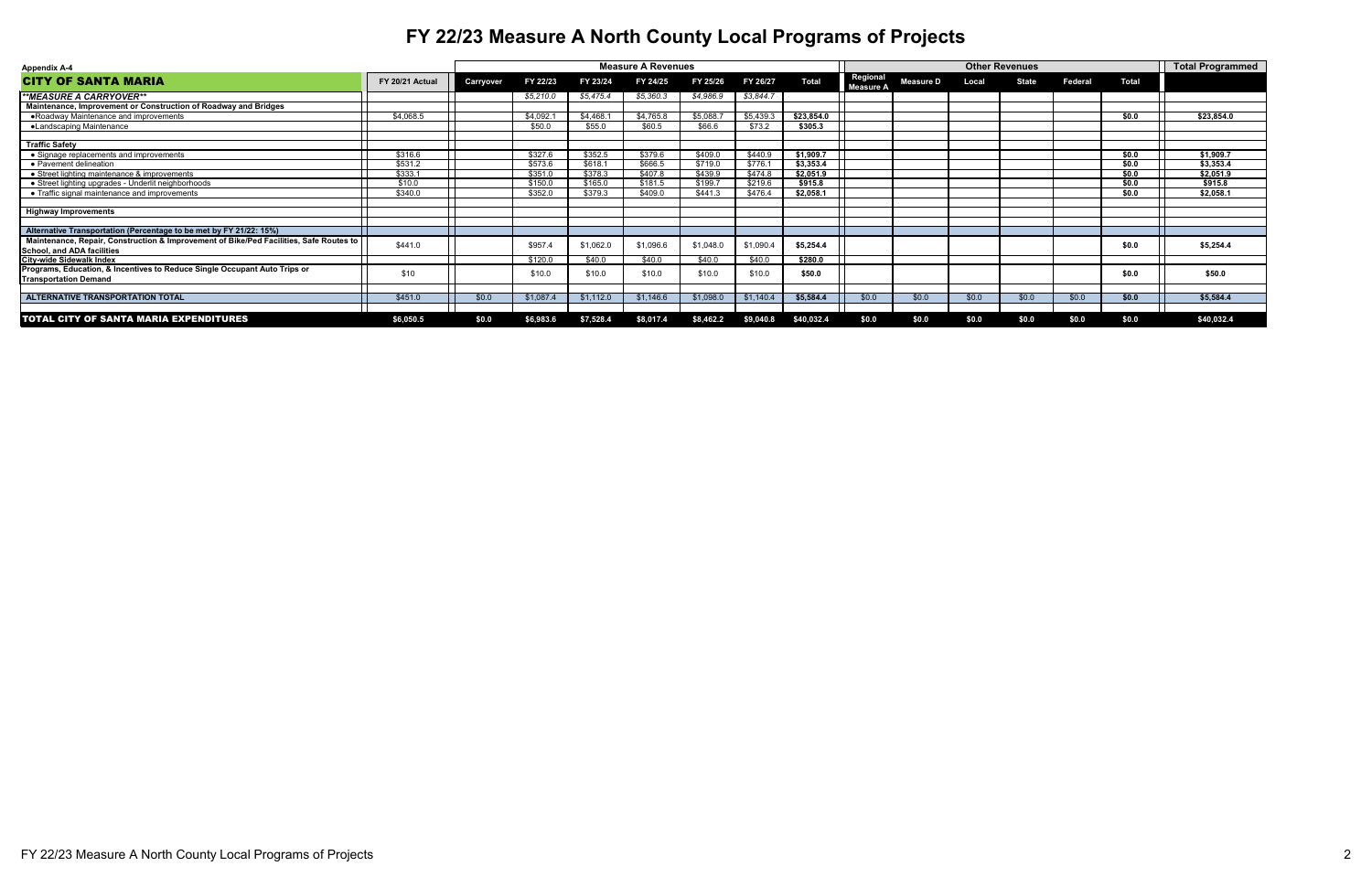| <b>Appendix A-4</b>                                                                                                         |                 |           |           |           | <b>Measure A Revenues</b> |           |           |              |                       |                  |       | <b>Other Revenues</b> |                |              | <b>Total Programmed</b> |
|-----------------------------------------------------------------------------------------------------------------------------|-----------------|-----------|-----------|-----------|---------------------------|-----------|-----------|--------------|-----------------------|------------------|-------|-----------------------|----------------|--------------|-------------------------|
| <b>CITY OF SANTA MARIA</b>                                                                                                  | FY 20/21 Actual | Carryover | FY 22/23  | FY 23/24  | FY 24/25                  | FY 25/26  | FY 26/27  | <b>Total</b> | Regional<br>Measure A | <b>Measure D</b> | Local | <b>State</b>          | <b>Federal</b> | <b>Total</b> |                         |
| **MEASURE A CARRYOVER**                                                                                                     |                 |           | \$5,210.0 | \$5,475.4 | \$5,360.3                 | \$4,986.9 | \$3,844.7 |              |                       |                  |       |                       |                |              |                         |
| Maintenance, Improvement or Construction of Roadway and Bridges                                                             |                 |           |           |           |                           |           |           |              |                       |                  |       |                       |                |              |                         |
| • Roadway Maintenance and improvements                                                                                      | \$4,068.5       |           | \$4,092.1 | \$4,468.  | \$4,765.8                 | \$5,088.  | \$5,439.3 | \$23,854.0   |                       |                  |       |                       |                | \$0.0        | \$23,854.0              |
| •Landscaping Maintenance                                                                                                    |                 |           | \$50.0    | \$55.0    | \$60.5                    | \$66.6    | \$73.2    | \$305.3      |                       |                  |       |                       |                |              |                         |
| <b>Traffic Safety</b>                                                                                                       |                 |           |           |           |                           |           |           |              |                       |                  |       |                       |                |              |                         |
| · Signage replacements and improvements                                                                                     | \$316.6         |           | \$327.6   | \$352.5   | \$379.6                   | \$409.0   | \$440.9   | \$1,909.7    |                       |                  |       |                       |                | \$0.0        | \$1,909.7               |
| • Pavement delineation                                                                                                      | \$531.2         |           | \$573.6   | \$618.1   | \$666.5                   | \$719.0   | \$776.    | \$3,353.4    |                       |                  |       |                       |                | \$0.0        | \$3,353.4               |
| • Street lighting maintenance & improvements                                                                                | \$333.1         |           | \$351.0   | \$378.3   | \$407.8                   | \$439.9   | \$474.8   | \$2,051.9    |                       |                  |       |                       |                | \$0.0        | \$2,051.9               |
| • Street lighting upgrades - Underlit neighborhoods                                                                         | \$10.0          |           | \$150.0   | \$165.0   | \$181.5                   | \$199.7   | \$219.6   | \$915.8      |                       |                  |       |                       |                | \$0.0        | \$915.8                 |
| • Traffic signal maintenance and improvements                                                                               | \$340.0         |           | \$352.0   | \$379.3   | \$409.0                   | \$441.3   | \$476.4   | \$2,058.1    |                       |                  |       |                       |                | \$0.0        | \$2,058.1               |
| <b>Highway Improvements</b>                                                                                                 |                 |           |           |           |                           |           |           |              |                       |                  |       |                       |                |              |                         |
| Alternative Transportation (Percentage to be met by FY 21/22: 15%)                                                          |                 |           |           |           |                           |           |           |              |                       |                  |       |                       |                |              |                         |
| Maintenance, Repair, Construction & Improvement of Bike/Ped Facilities, Safe Routes to<br><b>School, and ADA facilities</b> | \$441.0         |           | \$957.4   | \$1,062.0 | \$1,096.6                 | \$1,048.0 | \$1,090.4 | \$5,254.4    |                       |                  |       |                       |                | \$0.0        | \$5,254.4               |
| <b>City-wide Sidewalk Index</b>                                                                                             |                 |           | \$120.0   | \$40.0    | \$40.0                    | \$40.0    | \$40.0    | \$280.0      |                       |                  |       |                       |                |              |                         |
| Programs, Education, & Incentives to Reduce Single Occupant Auto Trips or<br><b>Transportation Demand</b>                   | \$10            |           | \$10.0    | \$10.0    | \$10.0                    | \$10.0    | \$10.0    | \$50.0       |                       |                  |       |                       |                | \$0.0        | \$50.0                  |
|                                                                                                                             |                 |           |           |           |                           |           |           |              |                       |                  |       |                       |                |              |                         |
| <b>ALTERNATIVE TRANSPORTATION TOTAL</b>                                                                                     | \$451.0         | \$0.0\$   | \$1,087.4 | \$1,112.0 | \$1,146.6                 | \$1,098.0 | \$1,140.4 | \$5,584.4    | \$0.0                 | \$0.0            | \$0.0 | \$0.0                 | \$0.0          | \$0.0        | \$5,584.4               |
| <b>TOTAL CITY OF SANTA MARIA EXPENDITURES</b>                                                                               | \$6,050.5       | \$0.0     | \$6,983.6 | \$7,528.4 | \$8,017.4                 | \$8,462.2 | \$9,040.8 | \$40,032.4   | \$0.0                 | \$0.0            | \$0.0 | \$0.0                 | \$0.0          | \$0.0        | \$40,032.4              |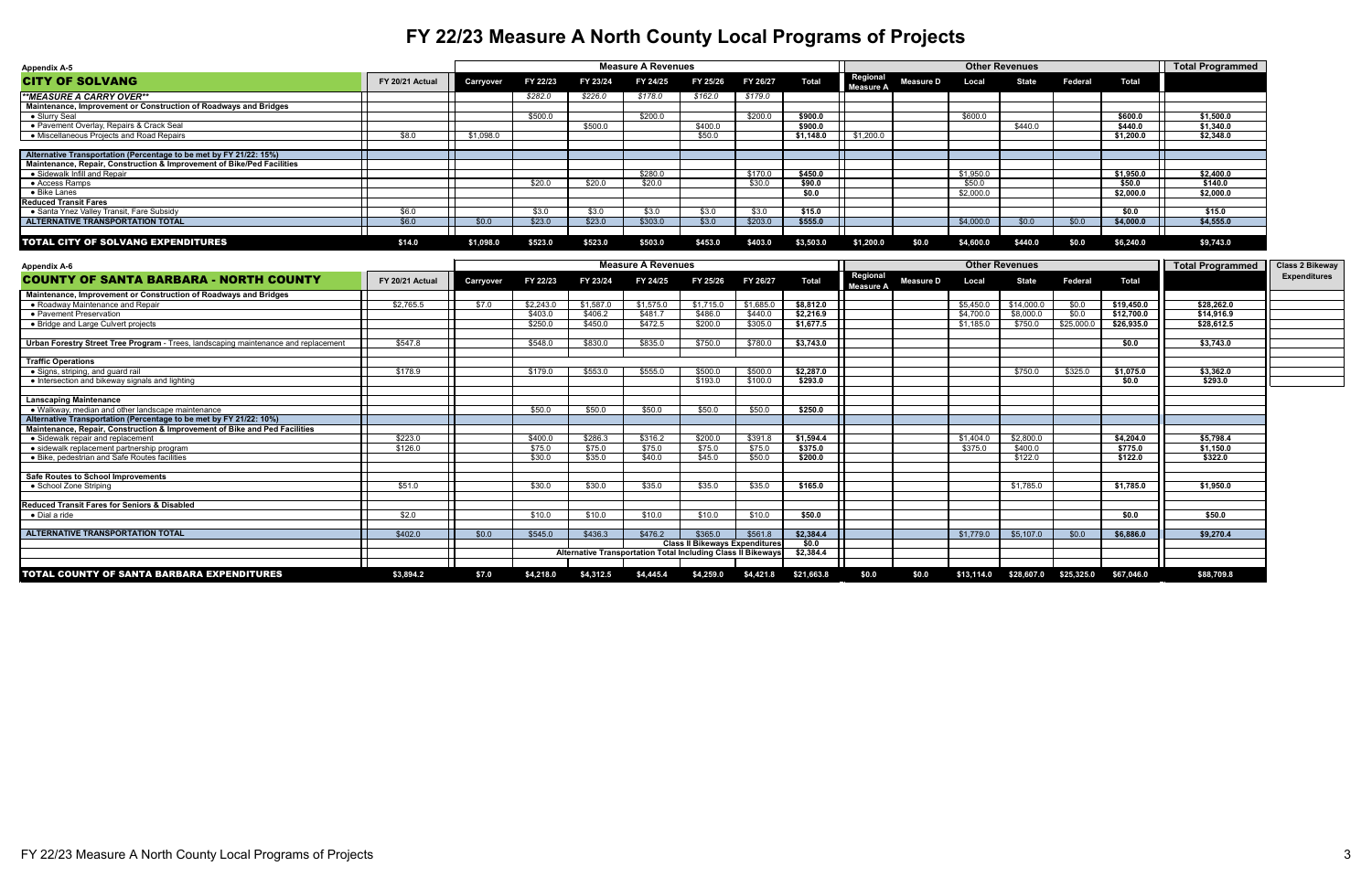| <b>Appendix A-5</b>                                                    |                        |           |          |          | <b>Measure A Revenues</b> |          |          |              |                                     |                  | <b>Other Revenues</b> |              |                |              | <b>Total Programmed</b> |
|------------------------------------------------------------------------|------------------------|-----------|----------|----------|---------------------------|----------|----------|--------------|-------------------------------------|------------------|-----------------------|--------------|----------------|--------------|-------------------------|
| <b>CITY OF SOLVANG</b>                                                 | <b>FY 20/21 Actual</b> | Carryover | FY 22/23 | FY 23/24 | FY 24/25                  | FY 25/26 | FY 26/27 | <b>Total</b> | <b>Regional</b><br><b>Measure A</b> | <b>Measure D</b> | Local                 | <b>State</b> | <b>Federal</b> | <b>Total</b> |                         |
| <i><b>**MEASURE A CARRY OVER**</b></i>                                 |                        |           | \$282.0  | \$226.0  | \$178.0                   | \$162.0  | \$179.0  |              |                                     |                  |                       |              |                |              |                         |
| Maintenance, Improvement or Construction of Roadways and Bridges       |                        |           |          |          |                           |          |          |              |                                     |                  |                       |              |                |              |                         |
| $\bullet$ Slurry Seal                                                  |                        |           | \$500.0  |          | \$200.0                   |          | \$200.0  | \$900.0      |                                     |                  | \$600.0               |              |                | \$600.0      | \$1,500.0               |
| • Pavement Overlay, Repairs & Crack Seal                               |                        |           |          | \$500.0  |                           | \$400.0  |          | \$900.0      |                                     |                  |                       | \$440.0      |                | \$440.0      | \$1,340.0               |
| • Miscellaneous Projects and Road Repairs                              | \$8.0                  | \$1,098.0 |          |          |                           | \$50.0   |          | \$1,148.0    | \$1,200.0                           |                  |                       |              |                | \$1,200.0    | \$2,348.0               |
| Alternative Transportation (Percentage to be met by FY 21/22: 15%)     |                        |           |          |          |                           |          |          |              |                                     |                  |                       |              |                |              |                         |
| Maintenance, Repair, Construction & Improvement of Bike/Ped Facilities |                        |           |          |          |                           |          |          |              |                                     |                  |                       |              |                |              |                         |
| • Sidewalk Infill and Repair                                           |                        |           |          |          | \$280.0                   |          | \$170.0  | \$450.0      |                                     |                  | \$1,950.0             |              |                | \$1,950.0    | \$2,400.0               |
| $\bullet$ Access Ramps                                                 |                        |           | \$20.0   | \$20.0   | \$20.0                    |          | \$30.0   | \$90.0       |                                     |                  | \$50.0                |              |                | \$50.0       | \$140.0                 |
| $\bullet$ Bike Lanes                                                   |                        |           |          |          |                           |          |          | \$0.0        |                                     |                  | \$2,000.0             |              |                | \$2,000.0    | \$2,000.0               |
| <b>Reduced Transit Fares</b>                                           |                        |           |          |          |                           |          |          |              |                                     |                  |                       |              |                |              |                         |
| • Santa Ynez Valley Transit, Fare Subsidy                              | \$6.0                  |           | \$3.0    | \$3.0    | \$3.0                     | \$3.0    | \$3.0    | \$15.0       |                                     |                  |                       |              |                | \$0.0        | \$15.0                  |
| <b>ALTERNATIVE TRANSPORTATION TOTAL</b>                                | \$6.0\$                | \$0.0     | \$23.0   | \$23.0   | \$303.0                   | \$3.0    | \$203.0  | \$555.0      |                                     |                  | \$4,000.0             | \$0.0        | \$0.0          | \$4,000.0    | \$4,555.0               |
| <b>TOTAL CITY OF SOLVANG EXPENDITURES</b>                              | \$14.0                 | \$1,098.0 | \$523.0  | \$523.0  | \$503.0                   | \$453.0  | \$403.0  | \$3,503.0    | \$1,200.0                           | \$0.0            | \$4,600.0             | \$440.0      | \$0.0          | \$6,240.0    | \$9,743.0               |

| <b>Appendix A-6</b>                                                                 |                 |                                                              |           |           | <b>Measure A Revenues</b> |                                       |           |              |                              |                  |            | <b>Other Revenues</b> |                |              | <b>Total Programmed</b> | <b>Class 2 Bikeway</b> |
|-------------------------------------------------------------------------------------|-----------------|--------------------------------------------------------------|-----------|-----------|---------------------------|---------------------------------------|-----------|--------------|------------------------------|------------------|------------|-----------------------|----------------|--------------|-------------------------|------------------------|
| <b>COUNTY OF SANTA BARBARA - NORTH COUNTY</b>                                       | FY 20/21 Actual | <b>Carryover</b>                                             | FY 22/23  | FY 23/24  | FY 24/25                  | FY 25/26                              | FY 26/27  | <b>Total</b> | Regional<br><b>Measure A</b> | <b>Measure D</b> | Local      | <b>State</b>          | <b>Federal</b> | <b>Total</b> |                         | <b>Expenditures</b>    |
| Maintenance, Improvement or Construction of Roadways and Bridges                    |                 |                                                              |           |           |                           |                                       |           |              |                              |                  |            |                       |                |              |                         |                        |
| • Roadway Maintenance and Repair                                                    | \$2,765.5       | \$7.0                                                        | \$2,243.0 | \$1,587.0 | \$1,575.0                 | \$1.715.0                             | \$1,685.0 | \$8.812.0    |                              |                  | \$5.450.0  | \$14,000.0            | \$0.0          | \$19,450.0   | \$28.262.0              |                        |
| • Pavement Preservation                                                             |                 |                                                              | \$403.0   | \$406.2   | \$481.7                   | \$486.0                               | \$440.0   | \$2,216.9    |                              |                  | \$4,700.0  | \$8,000.0             | \$0.0          | \$12,700.0   | \$14,916.9              |                        |
| • Bridge and Large Culvert projects                                                 |                 |                                                              | \$250.0   | \$450.0   | \$472.5                   | \$200.0                               | \$305.0   | \$1,677.5    |                              |                  | \$1,185.0  | \$750.0               | \$25,000.0     | \$26,935.0   | \$28,612.5              |                        |
| Urban Forestry Street Tree Program - Trees, landscaping maintenance and replacement | \$547.8         |                                                              | \$548.0   | \$830.0   | \$835.0                   | \$750.0                               | \$780.0   | \$3,743.0    |                              |                  |            |                       |                | \$0.0        | \$3,743.0               |                        |
| <b>Traffic Operations</b>                                                           |                 |                                                              |           |           |                           |                                       |           |              |                              |                  |            |                       |                |              |                         |                        |
| • Signs, striping, and guard rail                                                   | \$178.9         |                                                              | \$179.0   | \$553.0   | \$555.0                   | \$500.0                               | \$500.0   | \$2,287.0    |                              |                  |            | \$750.0               | \$325.0        | \$1,075.0    | \$3,362.0               |                        |
| • Intersection and bikeway signals and lighting                                     |                 |                                                              |           |           |                           | \$193.0                               | \$100.0   | \$293.0      |                              |                  |            |                       |                | \$0.0        | \$293.0                 |                        |
| <b>Lanscaping Maintenance</b>                                                       |                 |                                                              |           |           |                           |                                       |           |              |                              |                  |            |                       |                |              |                         |                        |
| • Walkway, median and other landscape maintenance                                   |                 |                                                              | \$50.0    | \$50.0    | \$50.0                    | \$50.0                                | \$50.0    | \$250.0      |                              |                  |            |                       |                |              |                         |                        |
| Alternative Transportation (Percentage to be met by FY 21/22: 10%)                  |                 |                                                              |           |           |                           |                                       |           |              |                              |                  |            |                       |                |              |                         |                        |
| Maintenance, Repair, Construction & Improvement of Bike and Ped Facilities          |                 |                                                              |           |           |                           |                                       |           |              |                              |                  |            |                       |                |              |                         |                        |
| • Sidewalk repair and replacement                                                   | \$223.0         |                                                              | \$400.0   | \$286.3   | \$316.2                   | \$200.0                               | \$391.8   | \$1,594.4    |                              |                  | \$1,404.0  | \$2,800.0             |                | \$4,204.0    | \$5,798.4               |                        |
| • sidewalk replacement partnership program                                          | \$126.0         |                                                              | \$75.0    | \$75.0    | \$75.0                    | \$75.0                                | \$75.0    | \$375.0      |                              |                  | \$375.0    | \$400.0               |                | \$775.0      | \$1,150.0               |                        |
| • Bike, pedestrian and Safe Routes facilities                                       |                 |                                                              | \$30.0    | \$35.0    | \$40.0                    | \$45.0                                | \$50.0    | \$200.0      |                              |                  |            | \$122.0               |                | \$122.0      | \$322.0                 |                        |
| <b>Safe Routes to School Improvements</b>                                           |                 |                                                              |           |           |                           |                                       |           |              |                              |                  |            |                       |                |              |                         |                        |
| • School Zone Striping                                                              | \$51.0          |                                                              | \$30.0    | \$30.0    | \$35.0                    | \$35.0                                | \$35.0    | \$165.0      |                              |                  |            | \$1,785.0             |                | \$1,785.0    | \$1,950.0               |                        |
| <b>Reduced Transit Fares for Seniors &amp; Disabled</b>                             |                 |                                                              |           |           |                           |                                       |           |              |                              |                  |            |                       |                |              |                         |                        |
| • Dial a ride                                                                       | \$2.0           |                                                              | \$10.0    | \$10.0    | \$10.0                    | \$10.0                                | \$10.0    | \$50.0       |                              |                  |            |                       |                | \$0.0        | \$50.0                  |                        |
| <b>ALTERNATIVE TRANSPORTATION TOTAL</b>                                             | \$402.0         | \$0.0                                                        | \$545.0   | \$436.3   | \$476.2                   | \$365.0                               | \$561.8   | \$2,384.4    |                              |                  | \$1,779.0  | \$5,107.0             | \$0.0          | \$6,886.0    | \$9,270.4               |                        |
|                                                                                     |                 |                                                              |           |           |                           | <b>Class II Bikeways Expenditures</b> |           | \$0.0        |                              |                  |            |                       |                |              |                         |                        |
|                                                                                     |                 | Alternative Transportation Total Including Class II Bikeways |           |           |                           |                                       |           | \$2,384.4    |                              |                  |            |                       |                |              |                         |                        |
| TOTAL COUNTY OF SANTA BARBARA EXPENDITURES                                          | \$3,894.2       | \$7.0                                                        | \$4,218.0 | \$4,312.5 | \$4,445.4                 | \$4,259.0                             | \$4,421.8 | \$21,663.8   | \$0.0                        | \$0.0            | \$13,114.0 | \$28,607.0            | \$25,325.0     | \$67,046.0   | \$88,709.8              |                        |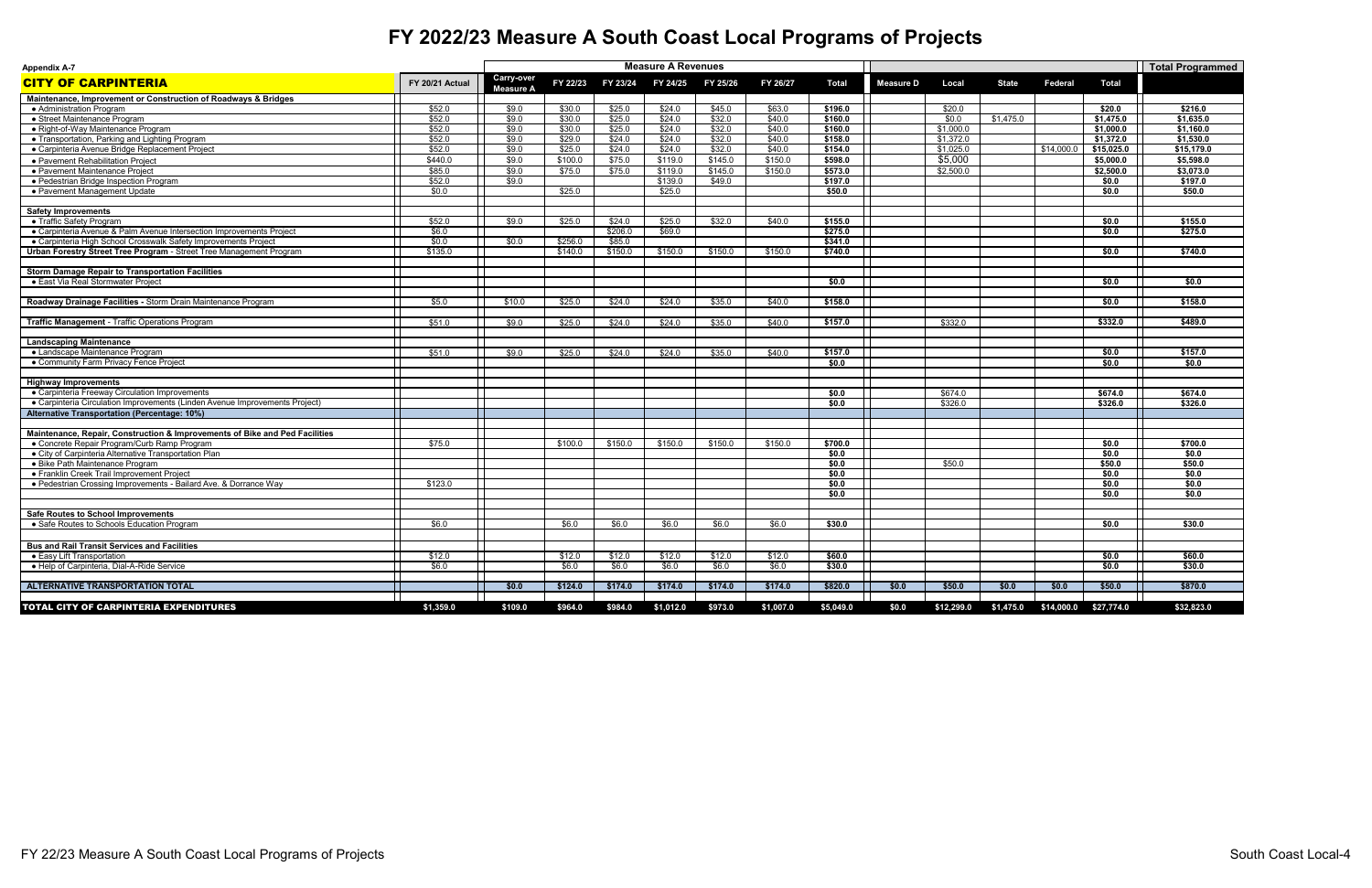| <b>Appendix A-7</b>                                                         |                 |                                       |          |          | <b>Measure A Revenues</b> |          |           |              |                  |            |              |                |                       | <b>Total Programmed</b> |
|-----------------------------------------------------------------------------|-----------------|---------------------------------------|----------|----------|---------------------------|----------|-----------|--------------|------------------|------------|--------------|----------------|-----------------------|-------------------------|
| <b>CITY OF CARPINTERIA</b>                                                  | FY 20/21 Actual | <b>Carry-over</b><br><b>Measure A</b> | FY 22/23 | FY 23/24 | FY 24/25                  | FY 25/26 | FY 26/27  | <b>Total</b> | <b>Measure D</b> | Local      | <b>State</b> | <b>Federal</b> | <b>Total</b>          |                         |
| Maintenance, Improvement or Construction of Roadways & Bridges              |                 |                                       |          |          |                           |          |           |              |                  |            |              |                |                       |                         |
| • Administration Program                                                    | \$52.0          | \$9.0                                 | \$30.0   | \$25.0   | \$24.0                    | \$45.0   | \$63.0    | \$196.0      |                  | \$20.0     |              |                | \$20.0                | \$216.0                 |
| • Street Maintenance Program                                                | \$52.0          | \$9.0                                 | \$30.0   | \$25.0   | \$24.0                    | \$32.0   | \$40.0    | \$160.0      |                  | \$0.0      | \$1,475.0    |                | \$1,475.0             | \$1,635.0               |
| • Right-of-Way Maintenance Program                                          | \$52.0          | \$9.0                                 | \$30.0   | \$25.0   | \$24.0                    | \$32.0   | \$40.0    | \$160.0      |                  | \$1,000.0  |              |                | \$1,000.0             | \$1,160.0               |
| • Transportation, Parking and Lighting Program                              | \$52.0          | \$9.0                                 | \$29.0   | \$24.0   | \$24.0                    | \$32.0   | \$40.0    | \$158.0      |                  | \$1,372.0  |              |                | \$1,372.0             | \$1,530.0               |
| • Carpinteria Avenue Bridge Replacement Project                             | \$52.0          | \$9.0                                 | \$25.0   | \$24.0   | \$24.0                    | \$32.0   | \$40.0    | \$154.0      |                  | \$1,025.0  |              | \$14,000.0     | \$15,025.0            | \$15,179.0              |
| • Pavement Rehabilitation Project                                           | \$440.0         | \$9.0                                 | \$100.0  | \$75.0   | \$119.0                   | \$145.0  | \$150.0   | \$598.0      |                  | \$5,000    |              |                | \$5,000.0             | \$5,598.0               |
| • Pavement Maintenance Project                                              | \$85.0          | \$9.0                                 | \$75.0   | \$75.0   | \$119.0                   | \$145.0  | \$150.0   | \$573.0      |                  | \$2,500.0  |              |                | \$2,500.0             | \$3,073.0               |
| • Pedestrian Bridge Inspection Program                                      | \$52.0          | \$9.0                                 |          |          | \$139.0                   | \$49.0   |           | \$197.0      |                  |            |              |                | \$0.0                 | \$197.0                 |
| • Pavement Management Update                                                | \$0.0           |                                       | \$25.0   |          | \$25.0                    |          |           | \$50.0       |                  |            |              |                | \$0.0                 | \$50.0                  |
| <b>Safety Improvements</b>                                                  |                 |                                       |          |          |                           |          |           |              |                  |            |              |                |                       |                         |
| • Traffic Safety Program                                                    | \$52.0          | \$9.0                                 | \$25.0   | \$24.0   | \$25.0                    | \$32.0   | \$40.0    | \$155.0      |                  |            |              |                | \$0.0                 | \$155.0                 |
| • Carpinteria Avenue & Palm Avenue Intersection Improvements Project        | \$6.0           |                                       |          | \$206.0  | \$69.0                    |          |           | \$275.0      |                  |            |              |                | \$0.0                 | \$275.0                 |
| • Carpinteria High School Crosswalk Safety Improvements Project             | \$0.0           | \$0.0\$                               | \$256.0  | \$85.0   |                           |          |           | \$341.0      |                  |            |              |                |                       |                         |
| Urban Forestry Street Tree Program - Street Tree Management Program         | \$135.0         |                                       | \$140.0  | \$150.0  | \$150.0                   | \$150.0  | \$150.0   | \$740.0      |                  |            |              |                | \$0.0                 | \$740.0                 |
| <b>Storm Damage Repair to Transportation Facilities</b>                     |                 |                                       |          |          |                           |          |           |              |                  |            |              |                |                       |                         |
| • East Via Real Stormwater Project                                          |                 |                                       |          |          |                           |          |           | \$0.0        |                  |            |              |                | \$0.0                 | \$0.0                   |
|                                                                             |                 |                                       |          |          |                           |          |           |              |                  |            |              |                |                       |                         |
| Roadway Drainage Facilities - Storm Drain Maintenance Program               | \$5.0           | \$10.0                                | \$25.0   | \$24.0   | \$24.0                    | \$35.0   | \$40.0    | \$158.0      |                  |            |              |                | \$0.0                 | \$158.0                 |
|                                                                             |                 |                                       |          |          |                           |          |           |              |                  |            |              |                |                       |                         |
| <b>Traffic Management - Traffic Operations Program</b>                      | \$51.0          | \$9.0                                 | \$25.0   | \$24.0   | \$24.0                    | \$35.0   | \$40.0    | \$157.0      |                  | \$332.0    |              |                | \$332.0               | \$489.0                 |
| <b>Landscaping Maintenance</b>                                              |                 |                                       |          |          |                           |          |           |              |                  |            |              |                |                       |                         |
| • Landscape Maintenance Program                                             | \$51.0          | \$9.0                                 | \$25.0   | \$24.0   | \$24.0                    | \$35.0   | \$40.0    | \$157.0      |                  |            |              |                | \$0.0                 | \$157.0                 |
| • Community Farm Privacy Fence Project                                      |                 |                                       |          |          |                           |          |           | \$0.0        |                  |            |              |                | \$0.0                 | \$0.0                   |
| <b>Highway Improvements</b>                                                 |                 |                                       |          |          |                           |          |           |              |                  |            |              |                |                       |                         |
| • Carpinteria Freeway Circulation Improvements                              |                 |                                       |          |          |                           |          |           | \$0.0        |                  | \$674.0    |              |                | \$674.0               | \$674.0                 |
| • Carpinteria Circulation Improvements (Linden Avenue Improvements Project) |                 |                                       |          |          |                           |          |           | \$0.0        |                  | \$326.0    |              |                | \$326.0               | \$326.0                 |
| <b>Alternative Transportation (Percentage: 10%)</b>                         |                 |                                       |          |          |                           |          |           |              |                  |            |              |                |                       |                         |
|                                                                             |                 |                                       |          |          |                           |          |           |              |                  |            |              |                |                       |                         |
| Maintenance, Repair, Construction & Improvements of Bike and Ped Facilities |                 |                                       |          |          |                           |          |           |              |                  |            |              |                |                       |                         |
| • Concrete Repair Program/Curb Ramp Program                                 | \$75.0          |                                       | \$100.0  | \$150.0  | \$150.0                   | \$150.0  | \$150.0   | \$700.0      |                  |            |              |                | \$0.0                 | \$700.0                 |
| • City of Carpinteria Alternative Transportation Plan                       |                 |                                       |          |          |                           |          |           | \$0.0        |                  |            |              |                | \$0.0                 | \$0.0                   |
| • Bike Path Maintenance Program                                             |                 |                                       |          |          |                           |          |           | \$0.0        |                  | \$50.0     |              |                | \$50.0                | \$50.0                  |
| • Franklin Creek Trail Improvement Project                                  |                 |                                       |          |          |                           |          |           | \$0.0        |                  |            |              |                | \$0.0                 | \$0.0                   |
| • Pedestrian Crossing Improvements - Bailard Ave. & Dorrance Way            | \$123.0         |                                       |          |          |                           |          |           | \$0.0        |                  |            |              |                | \$0.0                 | \$0.0                   |
|                                                                             |                 |                                       |          |          |                           |          |           | \$0.0        |                  |            |              |                | \$0.0                 | \$0.0                   |
| <b>Safe Routes to School Improvements</b>                                   |                 |                                       |          |          |                           |          |           |              |                  |            |              |                |                       |                         |
| • Safe Routes to Schools Education Program                                  | \$6.0           |                                       | \$6.0    | \$6.0    | \$6.0                     | \$6.0    | \$6.0     | \$30.0       |                  |            |              |                | \$0.0                 | \$30.0                  |
|                                                                             |                 |                                       |          |          |                           |          |           |              |                  |            |              |                |                       |                         |
| <b>Bus and Rail Transit Services and Facilities</b>                         |                 |                                       |          |          |                           |          |           |              |                  |            |              |                |                       |                         |
| • Easy Lift Transportation                                                  | \$12.0          |                                       | \$12.0   | \$12.0   | \$12.0                    | \$12.0   | \$12.0    | \$60.0       |                  |            |              |                | \$0.0                 | \$60.0                  |
| • Help of Carpinteria, Dial-A-Ride Service                                  | \$6.0           |                                       | \$6.0    | \$6.0    | \$6.0                     | \$6.0    | \$6.0     | \$30.0       |                  |            |              |                | \$0.0                 | \$30.0                  |
| ALTERNATIVE TRANSPORTATION TOTAL                                            |                 | \$0.0                                 | \$124.0  | \$174.0  | \$174.0                   | \$174.0  | \$174.0   | \$820.0      | \$0.0            | \$50.0     | \$0.0        | \$0.0          | \$50.0                | \$870.0                 |
|                                                                             |                 |                                       |          |          |                           |          |           |              |                  |            |              |                |                       |                         |
| TOTAL CITY OF CARPINTERIA EXPENDITURES                                      | \$1,359.0       | \$109.0                               | \$964.0  | \$984.0  | \$1,012.0                 | \$973.0  | \$1,007.0 | \$5,049.0    | \$0.0            | \$12,299.0 | \$1,475.0    |                | \$14,000.0 \$27,774.0 | \$32,823.0              |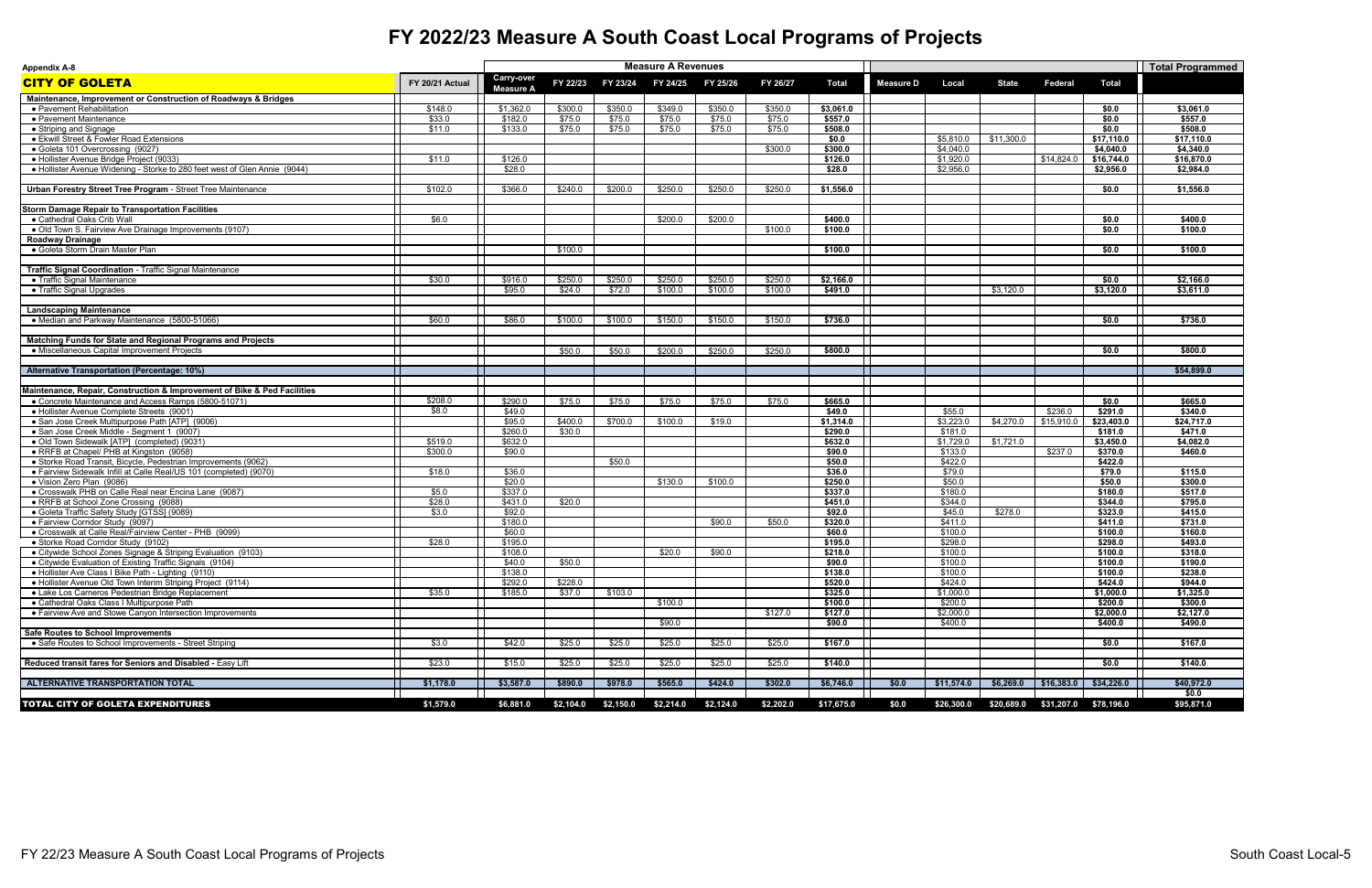| <b>Appendix A-8</b>                                                                                 |                 |                                       |           |           | <b>Measure A Revenues</b> |           |           |                    |                  |                    |              |                        |                    | <b>Total Programmed</b> |
|-----------------------------------------------------------------------------------------------------|-----------------|---------------------------------------|-----------|-----------|---------------------------|-----------|-----------|--------------------|------------------|--------------------|--------------|------------------------|--------------------|-------------------------|
| <b>CITY OF GOLETA</b>                                                                               | FY 20/21 Actual | <b>Carry-over</b><br><b>Measure A</b> | FY 22/23  | FY 23/24  | FY 24/25                  | FY 25/26  | FY 26/27  | <b>Total</b>       | <b>Measure D</b> | Local              | <b>State</b> | <b>Federal</b>         | <b>Total</b>       |                         |
| Maintenance, Improvement or Construction of Roadways & Bridges                                      |                 |                                       |           |           |                           |           |           |                    |                  |                    |              |                        |                    |                         |
| • Pavement Rehabilitation                                                                           | \$148.0         | \$1,362.0                             | \$300.0   | \$350.0   | \$349.0                   | \$350.0   | \$350.0   | \$3,061.0          |                  |                    |              |                        | \$0.0              | \$3,061.0               |
| • Pavement Maintenance                                                                              | \$33.0          | \$182.0                               | \$75.0    | \$75.0    | \$75.0                    | \$75.0    | \$75.0    | \$557.0            |                  |                    |              |                        | \$0.0              | \$557.0                 |
| • Striping and Signage                                                                              | \$11.0          | \$133.0                               | \$75.0    | \$75.0    | \$75.0                    | \$75.0    | \$75.0    | \$508.0            |                  |                    |              |                        | \$0.0              | \$508.0                 |
| • Ekwill Street & Fowler Road Extensions                                                            |                 |                                       |           |           |                           |           |           | \$0.0              |                  | \$5,810.0          | \$11,300.0   |                        | \$17,110.0         | \$17,110.0              |
| • Goleta 101 Overcrossing (9027)                                                                    |                 |                                       |           |           |                           |           | \$300.0   | \$300.0            |                  | \$4,040.0          |              |                        | \$4,040.0          | \$4,340.0               |
| · Hollister Avenue Bridge Project (9033)                                                            | \$11.0          | \$126.0                               |           |           |                           |           |           | \$126.0            |                  | \$1,920.0          |              | \$14,824.0             | \$16,744.0         | \$16,870.0              |
| • Hollister Avenue Widening - Storke to 280 feet west of Glen Annie (9044)                          |                 | \$28.0                                |           |           |                           |           |           | \$28.0             |                  | \$2,956.0          |              |                        | \$2,956.0          | \$2,984.0               |
|                                                                                                     |                 |                                       |           |           |                           |           |           |                    |                  |                    |              |                        |                    |                         |
| <b>Urban Forestry Street Tree Program - Street Tree Maintenance</b>                                 | \$102.0         | \$366.0                               | \$240.0   | \$200.0   | \$250.0                   | \$250.0   | \$250.0   | \$1,556.0          |                  |                    |              |                        | \$0.0              | \$1,556.0               |
| <b>Storm Damage Repair to Transportation Facilities</b>                                             |                 |                                       |           |           |                           |           |           |                    |                  |                    |              |                        |                    |                         |
| • Cathedral Oaks Crib Wall                                                                          | \$6.0           |                                       |           |           | \$200.0                   | \$200.0   |           | \$400.0            |                  |                    |              |                        | \$0.0              | \$400.0                 |
| • Old Town S. Fairview Ave Drainage Improvements (9107)                                             |                 |                                       |           |           |                           |           | \$100.0   | \$100.0            |                  |                    |              |                        | \$0.0              | \$100.0                 |
| <b>Roadway Drainage</b>                                                                             |                 |                                       |           |           |                           |           |           |                    |                  |                    |              |                        |                    |                         |
| • Goleta Storm Drain Master Plan                                                                    |                 |                                       | \$100.0   |           |                           |           |           | \$100.0            |                  |                    |              |                        | \$0.0              | \$100.0                 |
| Traffic Signal Coordination - Traffic Signal Maintenance                                            |                 |                                       |           |           |                           |           |           |                    |                  |                    |              |                        |                    |                         |
| • Traffic Signal Maintenance                                                                        | \$30.0          | \$916.0                               | \$250.0   | \$250.0   | \$250.0                   | \$250.0   | \$250.0   | \$2,166.0          |                  |                    |              |                        | \$0.0              | \$2,166.0               |
| • Traffic Signal Upgrades                                                                           |                 | \$95.0                                | \$24.0    | \$72.0    | \$100.0                   | \$100.0   | \$100.0   | \$491.0            |                  |                    | \$3,120.0    |                        | \$3,120.0          | \$3,611.0               |
|                                                                                                     |                 |                                       |           |           |                           |           |           |                    |                  |                    |              |                        |                    |                         |
| <b>Landscaping Maintenance</b>                                                                      |                 |                                       |           |           |                           |           |           |                    |                  |                    |              |                        |                    |                         |
| • Median and Parkway Maintenance (5800-51066)                                                       | \$60.0          | \$86.0                                | \$100.0   | \$100.0   | \$150.0                   | \$150.0   | \$150.0   | \$736.0            |                  |                    |              |                        | \$0.0              | \$736.0                 |
| Matching Funds for State and Regional Programs and Projects                                         |                 |                                       |           |           |                           |           |           |                    |                  |                    |              |                        |                    |                         |
| • Miscellaneous Capital Improvement Projects                                                        |                 |                                       | \$50.0    | \$50.0    | \$200.0                   | \$250.0   | \$250.0   | \$800.0            |                  |                    |              |                        | \$0.0              | \$800.0                 |
|                                                                                                     |                 |                                       |           |           |                           |           |           |                    |                  |                    |              |                        |                    |                         |
| <b>Alternative Transportation (Percentage: 10%)</b>                                                 |                 |                                       |           |           |                           |           |           |                    |                  |                    |              |                        |                    | \$54,899.0              |
|                                                                                                     |                 |                                       |           |           |                           |           |           |                    |                  |                    |              |                        |                    |                         |
| Maintenance, Repair, Construction & Improvement of Bike & Ped Facilities                            |                 |                                       |           |           |                           |           |           |                    |                  |                    |              |                        |                    |                         |
| • Concrete Maintenance and Access Ramps (5800-51071)                                                | \$208.0         | \$290.0                               | \$75.0    | \$75.0    | \$75.0                    | \$75.0    | \$75.0    | \$665.0            |                  |                    |              |                        | \$0.0              | \$665.0                 |
| • Hollister Avenue Complete Streets (9001)                                                          | \$8.0           | \$49.0                                |           |           |                           |           |           | \$49.0             |                  | \$55.0             |              | \$236.0                | \$291.0            | \$340.0                 |
| • San Jose Creek Multipurpose Path [ATP] (9006)                                                     |                 | \$95.0                                | \$400.0   | \$700.0   | \$100.0                   | \$19.0    |           | \$1,314.0          |                  | \$3,223.0          | \$4,270.0    | \$15,910.0             | \$23,403.0         | \$24,717.0              |
| • San Jose Creek Middle - Seament 1 (9007)                                                          |                 | \$260.0                               | \$30.0    |           |                           |           |           | \$290.0            |                  | \$181.0            |              |                        | \$181.0            | \$471.0                 |
| • Old Town Sidewalk [ATP] (completed) (9031)                                                        | \$519.0         | \$632.0                               |           |           |                           |           |           | \$632.0            |                  | \$1,729.0          | \$1,721.0    |                        | \$3,450.0          | \$4,082.0               |
| • RRFB at Chapel/ PHB at Kingston (9058)                                                            | \$300.0         | \$90.0                                |           |           |                           |           |           | \$90.0             |                  | \$133.0            |              | \$237.0                | \$370.0            | \$460.0                 |
| • Storke Road Transit, Bicycle, Pedestrian Improvements (9062)                                      |                 |                                       |           | \$50.0    |                           |           |           | \$50.0             |                  | \$422.0            |              |                        | \$422.0            |                         |
| • Fairview Sidewalk Infill at Calle Real/US 101 (completed) (9070)                                  | \$18.0          | \$36.0                                |           |           |                           |           |           | \$36.0             |                  | \$79.0             |              |                        | \$79.0             | \$115.0                 |
| • Vision Zero Plan (9086)                                                                           |                 | \$20.0                                |           |           | \$130.0                   | \$100.0   |           | \$250.0            |                  | \$50.0             |              |                        | \$50.0             | \$300.0                 |
| • Crosswalk PHB on Calle Real near Encina Lane (9087)                                               | \$5.0           | \$337.0                               |           |           |                           |           |           | \$337.0            |                  | \$180.0            |              |                        | \$180.0            | \$517.0                 |
| • RRFB at School Zone Crossing (9088)                                                               | \$28.0          | \$431.0                               | \$20.0    |           |                           |           |           | \$451.0            |                  | \$344.0            |              |                        | \$344.0            | \$795.0                 |
| • Goleta Traffic Safety Study [GTSS] (9089)                                                         | \$3.0           | \$92.0                                |           |           |                           |           |           | \$92.0             |                  | \$45.0             | \$278.0      |                        | \$323.0            | \$415.0                 |
| • Fairview Corridor Study (9097)                                                                    |                 | \$180.0                               |           |           |                           | \$90.0    | \$50.0    | \$320.0            |                  | \$411.0            |              |                        | \$411.0            | \$731.0                 |
| • Crosswalk at Calle Real/Fairview Center - PHB (9099)                                              | \$28.0          | \$60.0<br>\$195.0                     |           |           |                           |           |           | \$60.0             |                  | \$100.0<br>\$298.0 |              |                        | \$100.0<br>\$298.0 | \$160.0<br>\$493.0      |
| • Storke Road Corridor Study (9102)<br>• Citywide School Zones Signage & Striping Evaluation (9103) |                 | \$108.0                               |           |           | \$20.0                    | \$90.0    |           | \$195.0<br>\$218.0 |                  | \$100.0            |              |                        | \$100.0            | \$318.0                 |
| • Citywide Evaluation of Existing Traffic Signals (9104)                                            |                 | \$40.0                                | \$50.0    |           |                           |           |           | \$90.0             |                  | \$100.0            |              |                        | \$100.0            | \$190.0                 |
| • Hollister Ave Class I Bike Path - Lighting (9110)                                                 |                 | \$138.0                               |           |           |                           |           |           | \$138.0            |                  | \$100.0            |              |                        | \$100.0            | \$238.0                 |
| • Hollister Avenue Old Town Interim Striping Project (9114)                                         |                 | \$292.0                               | \$228.0   |           |                           |           |           | \$520.0            |                  | \$424.0            |              |                        | \$424.0            | \$944.0                 |
| • Lake Los Carneros Pedestrian Bridge Replacement                                                   | \$35.0          | \$185.0                               | \$37.0    | \$103.0   |                           |           |           | \$325.0            |                  | \$1,000.0          |              |                        | \$1,000.0          | \$1,325.0               |
| • Cathedral Oaks Class I Multipurpose Path                                                          |                 |                                       |           |           | \$100.0                   |           |           | \$100.0            |                  | \$200.0            |              |                        | \$200.0            | \$300.0                 |
| • Fairview Ave and Stowe Canyon Intersection Improvements                                           |                 |                                       |           |           |                           |           | \$127.0   | \$127.0            |                  | \$2,000.0          |              |                        | \$2,000.0          | \$2,127.0               |
|                                                                                                     |                 |                                       |           |           | \$90.0                    |           |           | \$90.0             |                  | \$400.0            |              |                        | \$400.0            | \$490.0                 |
| <b>Safe Routes to School Improvements</b>                                                           |                 |                                       |           |           |                           |           |           |                    |                  |                    |              |                        |                    |                         |
| • Safe Routes to School Improvements - Street Striping                                              | \$3.0           | \$42.0                                | \$25.0    | \$25.0    | \$25.0                    | \$25.0    | \$25.0    | \$167.0            |                  |                    |              |                        | \$0.0              | \$167.0                 |
|                                                                                                     |                 |                                       |           |           |                           |           |           |                    |                  |                    |              |                        |                    |                         |
| Reduced transit fares for Seniors and Disabled - Easy Lift                                          | \$23.0          | \$15.0                                | \$25.0    | \$25.0    | \$25.0                    | \$25.0    | \$25.0    | \$140.0            |                  |                    |              |                        | \$0.0              | \$140.0                 |
| ALTERNATIVE TRANSPORTATION TOTAL                                                                    | \$1,178.0       | \$3,587.0                             | \$890.0   | \$978.0   | \$565.0                   | \$424.0   | \$302.0   | \$6,746.0          | \$0.0            | \$11,574.0         |              | $$6,269.0$ $$16,383.0$ | \$34,226.0         | \$40,972.0              |
|                                                                                                     |                 |                                       |           |           |                           |           |           |                    |                  |                    |              |                        |                    | \$0.0                   |
| <b>TOTAL CITY OF GOLETA EXPENDITURES</b>                                                            | \$1,579.0       | \$6,881.0                             | \$2,104.0 | \$2,150.0 | \$2,214.0                 | \$2,124.0 | \$2,202.0 | \$17,675.0         | \$0.0            | \$26,300.0         | \$20,689.0   | \$31,207.0 \$78,196.0  |                    | \$95,871.0              |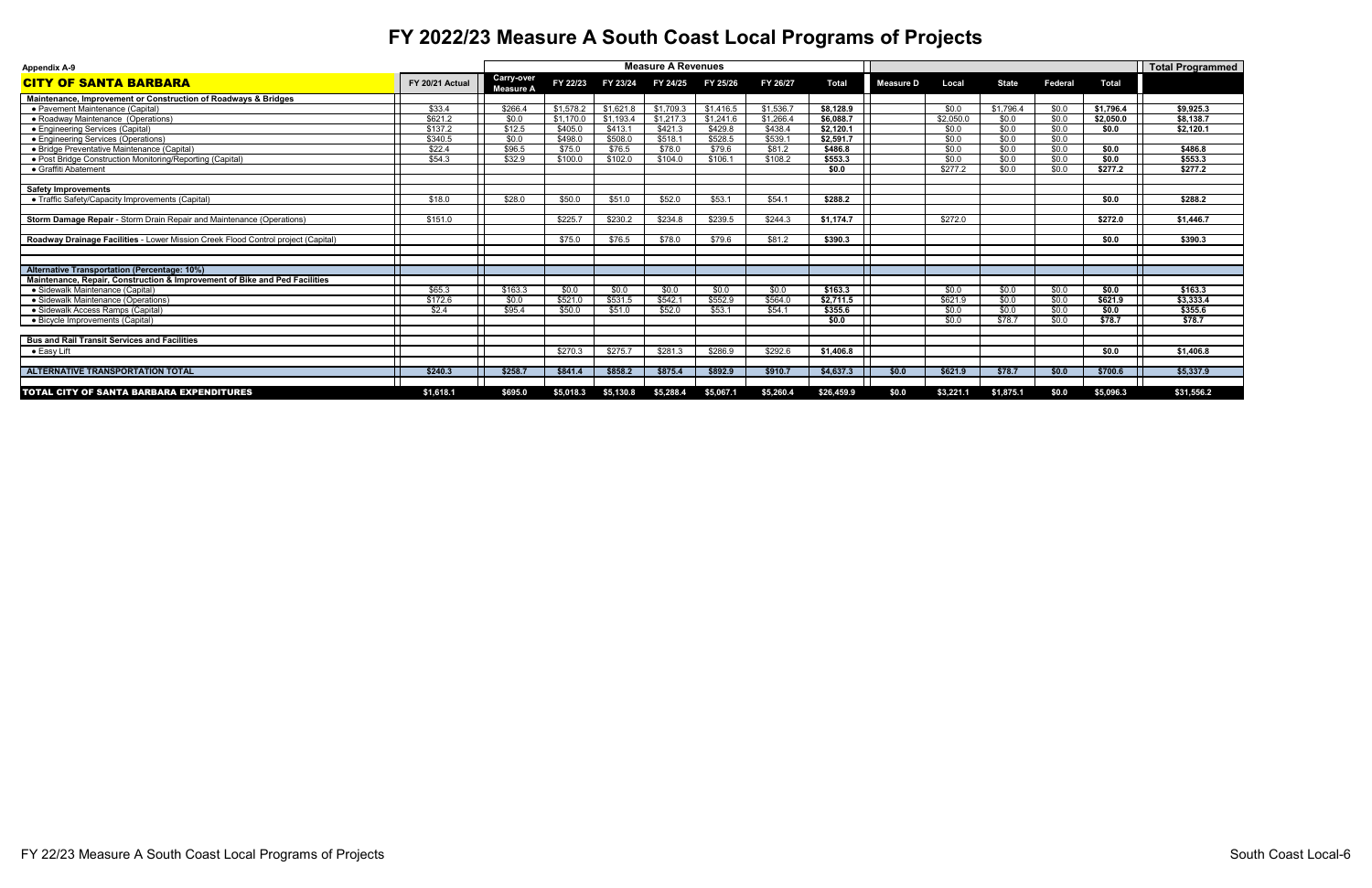| <b>Appendix A-9</b>                                                               |                 |                                       |           |           | <b>Measure A Revenues</b> |           |           |              |                  |           |              |                |              | Total Programmed |
|-----------------------------------------------------------------------------------|-----------------|---------------------------------------|-----------|-----------|---------------------------|-----------|-----------|--------------|------------------|-----------|--------------|----------------|--------------|------------------|
| <b>CITY OF SANTA BARBARA</b>                                                      | FY 20/21 Actual | <b>Carry-over</b><br><b>Measure A</b> | FY 22/23  | FY 23/24  | FY 24/25                  | FY 25/26  | FY 26/27  | <b>Total</b> | <b>Measure D</b> | Local     | <b>State</b> | <b>Federal</b> | <b>Total</b> |                  |
| Maintenance, Improvement or Construction of Roadways & Bridges                    |                 |                                       |           |           |                           |           |           |              |                  |           |              |                |              |                  |
| • Pavement Maintenance (Capital)                                                  | \$33.4          | \$266.4                               | \$1,578.2 | \$1,621.8 | \$1,709.3                 | \$1,416.5 | \$1,536.7 | \$8,128.9    |                  | \$0.0     | \$1,796.4    | \$0.0          | \$1,796.4    | \$9,925.3        |
| • Roadway Maintenance (Operations)                                                | \$621.2         | \$0.0                                 | \$1,170.0 | \$1,193.4 | \$1,217.3                 | \$1,241.6 | \$1,266.4 | \$6,088.7    |                  | \$2,050.0 | \$0.0        | \$0.0          | \$2,050.0    | \$8,138.7        |
| • Engineering Services (Capital)                                                  | \$137.2         | \$12.5                                | \$405.0   | \$413.7   | \$421.3                   | \$429.8   | \$438.4   | \$2,120.1    |                  | \$0.0     | \$0.0        | \$0.0          | \$0.0        | \$2,120.1        |
| • Engineering Services (Operations)                                               | \$340.5         | \$0.0                                 | \$498.0   | \$508.0   | \$518.1                   | \$528.5   | \$539.7   | \$2,591.7    |                  | \$0.0     | \$0.0        | \$0.0          |              |                  |
| • Bridge Preventative Maintenance (Capital)                                       | \$22.4          | \$96.5                                | \$75.0    | \$76.5    | \$78.0                    | \$79.6    | \$81.2    | \$486.8      |                  | \$0.0     | \$0.0        | \$0.0          | \$0.0        | \$486.8          |
| • Post Bridge Construction Monitoring/Reporting (Capital)                         | \$54.3          | \$32.9                                | \$100.0   | \$102.0   | \$104.0                   | \$106.1   | \$108.2   | \$553.3      |                  | \$0.0     | \$0.0        | \$0.0          | \$0.0        | \$553.3          |
| • Graffiti Abatement                                                              |                 |                                       |           |           |                           |           |           | \$0.0        |                  | \$277.2   | \$0.0        | \$0.0          | \$277.2      | \$277.2          |
|                                                                                   |                 |                                       |           |           |                           |           |           |              |                  |           |              |                |              |                  |
| <b>Safety Improvements</b>                                                        |                 |                                       |           |           |                           |           |           |              |                  |           |              |                |              |                  |
| • Traffic Safety/Capacity Improvements (Capital)                                  | \$18.0          | \$28.0                                | \$50.0    | \$51.0    | \$52.0                    | \$53.1    | \$54.1    | \$288.2      |                  |           |              |                | \$0.0        | \$288.2          |
|                                                                                   |                 |                                       |           |           |                           |           |           |              |                  |           |              |                |              |                  |
| Storm Damage Repair - Storm Drain Repair and Maintenance (Operations)             | \$151.0         |                                       | \$225.7   | \$230.2   | \$234.8                   | \$239.5   | \$244.3   | \$1,174.7    |                  | \$272.0   |              |                | \$272.0      | \$1,446.7        |
|                                                                                   |                 |                                       |           |           |                           |           |           |              |                  |           |              |                |              |                  |
| Roadway Drainage Facilities - Lower Mission Creek Flood Control project (Capital) |                 |                                       | \$75.0    | \$76.5    | \$78.0                    | \$79.6    | \$81.2    | \$390.3      |                  |           |              |                | \$0.0        | \$390.3          |
|                                                                                   |                 |                                       |           |           |                           |           |           |              |                  |           |              |                |              |                  |
|                                                                                   |                 |                                       |           |           |                           |           |           |              |                  |           |              |                |              |                  |
| <b>Alternative Transportation (Percentage: 10%)</b>                               |                 |                                       |           |           |                           |           |           |              |                  |           |              |                |              |                  |
| Maintenance, Repair, Construction & Improvement of Bike and Ped Facilities        |                 |                                       |           |           |                           |           |           |              |                  |           |              |                |              |                  |
| • Sidewalk Maintenance (Capital)                                                  | \$65.3          | \$163.3                               | \$0.0     | \$0.0     | \$0.0                     | \$0.0     | \$0.0     | \$163.3      |                  | \$0.0     | \$0.0        | \$0.0          | \$0.0        | \$163.3          |
| • Sidewalk Maintenance (Operations)                                               | \$172.6         | \$0.0                                 | \$521.0   | \$531.5   | \$542.7                   | \$552.9   | \$564.0   | \$2,711.5    |                  | \$621.9   | \$0.0        | \$0.0          | \$621.9      | \$3,333.4        |
| • Sidewalk Access Ramps (Capital)                                                 | \$2.4           | \$95.4                                | \$50.0    | \$51.0    | \$52.0                    | \$53.1    | \$54.1    | \$355.6      |                  | \$0.0     | \$0.0        | \$0.0          | \$0.0        | \$355.6          |
| • Bicycle Improvements (Capital)                                                  |                 |                                       |           |           |                           |           |           | \$0.0        |                  | \$0.0     | \$78.7       | \$0.0          | \$78.7       | \$78.7           |
|                                                                                   |                 |                                       |           |           |                           |           |           |              |                  |           |              |                |              |                  |
| <b>Bus and Rail Transit Services and Facilities</b>                               |                 |                                       |           |           |                           |           |           |              |                  |           |              |                |              |                  |
| $\bullet$ Easy Lift                                                               |                 |                                       | \$270.3   | \$275.7   | \$281.3                   | \$286.9   | \$292.6   | \$1,406.8    |                  |           |              |                | \$0.0        | \$1,406.8        |
|                                                                                   |                 |                                       |           |           |                           |           |           |              |                  |           |              |                |              |                  |
| <b>ALTERNATIVE TRANSPORTATION TOTAL</b>                                           | \$240.3         | \$258.7                               | \$841.4   | \$858.2   | \$875.4                   | \$892.9   | \$910.7   | \$4,637.3    | \$0.0            | \$621.9   | \$78.7       | \$0.0          | \$700.6      | \$5,337.9        |
|                                                                                   |                 |                                       |           |           |                           |           |           |              |                  |           |              |                |              |                  |
| <b>TOTAL CITY OF SANTA BARBARA EXPENDITURES</b>                                   | \$1,618.1       | \$695.0                               | \$5,018.3 | \$5,130.8 | \$5,288.4                 | \$5,067.1 | \$5,260.4 | \$26,459.9   | \$0.0            | \$3,221.1 | \$1,875.1    | \$0.0          | \$5,096.3    | \$31,556.2       |